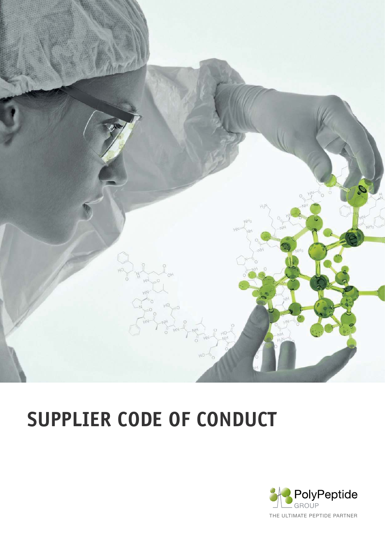

# **SUPPLIER CODE OF CONDUCT**

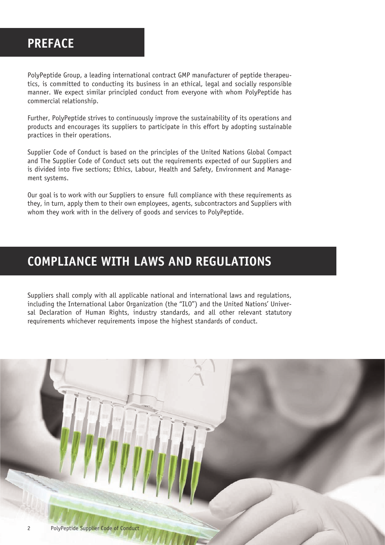## **PREFACE**

PolyPeptide Group, a leading international contract GMP manufacturer of peptide therapeutics, is committed to conducting its business in an ethical, legal and socially responsible manner. We expect similar principled conduct from everyone with whom PolyPeptide has commercial relationship.

Further, PolyPeptide strives to continuously improve the sustainability of its operations and products and encourages its suppliers to participate in this effort by adopting sustainable practices in their operations.

Supplier Code of Conduct is based on the principles of the United Nations Global Compact and The Supplier Code of Conduct sets out the requirements expected of our Suppliers and is divided into five sections; Ethics, Labour, Health and Safety, Environment and Management systems.

Our goal is to work with our Suppliers to ensure full compliance with these requirements as they, in turn, apply them to their own employees, agents, subcontractors and Suppliers with whom they work with in the delivery of goods and services to PolyPeptide.

### **COMPLIANCE WITH LAWS AND REGULATIONS**

Suppliers shall comply with all applicable national and international laws and regulations, including the International Labor Organization (the "ILO") and the United Nations' Universal Declaration of Human Rights, industry standards, and all other relevant statutory requirements whichever requirements impose the highest standards of conduct.

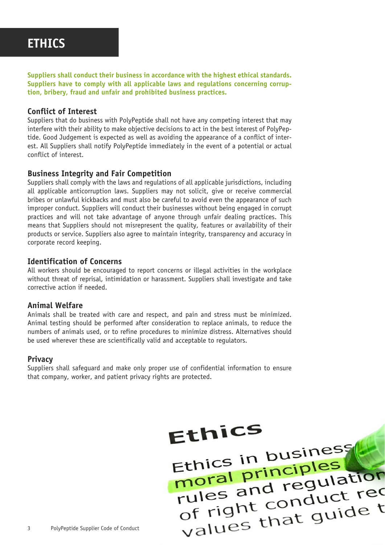### **ETHICS**

**Suppliers shall conduct their business in accordance with the highest ethical standards. Suppliers have to comply with all applicable laws and regulations concerning corruption, bribery, fraud and unfair and prohibited business practices.**

#### **Conflict of Interest**

Suppliers that do business with PolyPeptide shall not have any competing interest that may interfere with their ability to make objective decisions to act in the best interest of PolyPeptide. Good Judgement is expected as well as avoiding the appearance of a conflict of interest. All Suppliers shall notify PolyPeptide immediately in the event of a potential or actual conflict of interest.

#### **Business Integrity and Fair Competition**

Suppliers shall comply with the laws and regulations of all applicable jurisdictions, including all applicable anticorruption laws. Suppliers may not solicit, give or receive commercial bribes or unlawful kickbacks and must also be careful to avoid even the appearance of such improper conduct. Suppliers will conduct their businesses without being engaged in corrupt practices and will not take advantage of anyone through unfair dealing practices. This means that Suppliers should not misrepresent the quality, features or availability of their products or service. Suppliers also agree to maintain integrity, transparency and accuracy in corporate record keeping.

#### **Identification of Concerns**

All workers should be encouraged to report concerns or illegal activities in the workplace without threat of reprisal, intimidation or harassment. Suppliers shall investigate and take corrective action if needed.

#### **Animal Welfare**

Animals shall be treated with care and respect, and pain and stress must be minimized. Animal testing should be performed after consideration to replace animals, to reduce the numbers of animals used, or to refine procedures to minimize distress. Alternatives should be used wherever these are scientifically valid and acceptable to regulators.

#### **Privacy**

Suppliers shall safeguard and make only proper use of confidential information to ensure that company, worker, and patient privacy rights are protected.

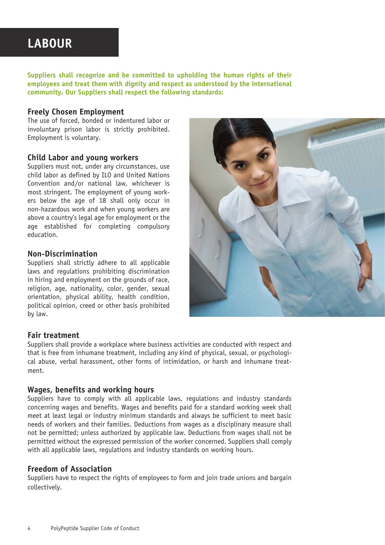### **LABOUR**

**Suppliers shall recognize and be committed to upholding the human rights of their employees and treat them with dignity and respect as understood by the international community. Our Suppliers shall respect the following standards:**

#### **Freely Chosen Employment**

The use of forced, bonded or indentured labor or involuntary prison labor is strictly prohibited. Employment is voluntary.

#### **Child Labor and young workers**

Suppliers must not, under any circumstances, use child labor as defined by ILO and United Nations Convention and/or national law, whichever is most stringent. The employment of young workers below the age of 18 shall only occur in non-hazardous work and when young workers are above a country's legal age for employment or the age established for completing compulsory education.

#### **Non-Discrimination**

Suppliers shall strictly adhere to all applicable laws and regulations prohibiting discrimination in hiring and employment on the grounds of race, religion, age, nationality, color, gender, sexual orientation, physical ability, health condition, political opinion, creed or other basis prohibited by law.



#### **Fair treatment**

Suppliers shall provide a workplace where business activities are conducted with respect and that is free from inhumane treatment, including any kind of physical, sexual, or psychological abuse, verbal harassment, other forms of intimidation, or harsh and inhumane treatment.

#### **Wages, benefits and working hours**

Suppliers have to comply with all applicable laws, regulations and industry standards concerning wages and benefits. Wages and benefits paid for a standard working week shall meet at least legal or industry minimum standards and always be sufficient to meet basic needs of workers and their families. Deductions from wages as a disciplinary measure shall not be permitted; unless authorized by applicable law. Deductions from wages shall not be permitted without the expressed permission of the worker concerned. Suppliers shall comply with all applicable laws, regulations and industry standards on working hours.

#### **Freedom of Association**

Suppliers have to respect the rights of employees to form and join trade unions and bargain collectively.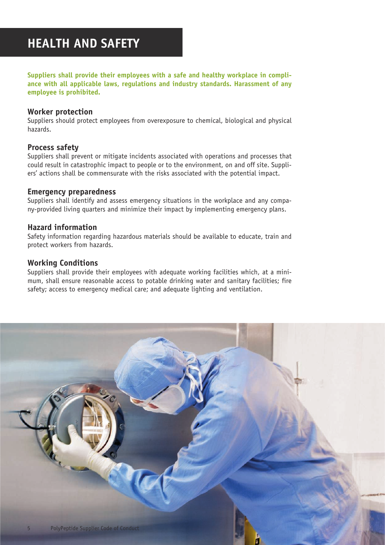## **HEALTH AND SAFETY**

**Suppliers shall provide their employees with a safe and healthy workplace in compliance with all applicable laws, regulations and industry standards. Harassment of any employee is prohibited.**

#### **Worker protection**

Suppliers should protect employees from overexposure to chemical, biological and physical hazards.

#### **Process safety**

Suppliers shall prevent or mitigate incidents associated with operations and processes that could result in catastrophic impact to people or to the environment, on and off site. Suppliers' actions shall be commensurate with the risks associated with the potential impact.

#### **Emergency preparedness**

Suppliers shall identify and assess emergency situations in the workplace and any company-provided living quarters and minimize their impact by implementing emergency plans.

#### **Hazard information**

Safety information regarding hazardous materials should be available to educate, train and protect workers from hazards.

#### **Working Conditions**

Suppliers shall provide their employees with adequate working facilities which, at a minimum, shall ensure reasonable access to potable drinking water and sanitary facilities; fire safety; access to emergency medical care; and adequate lighting and ventilation.

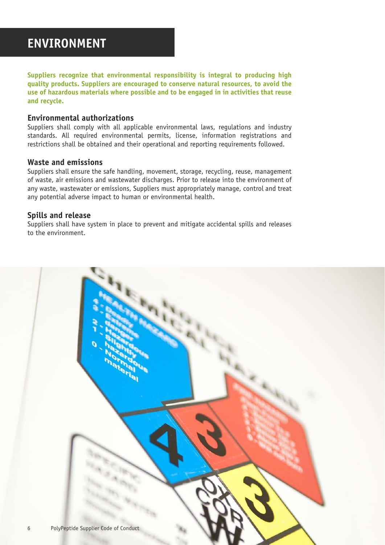**Suppliers recognize that environmental responsibility is integral to producing high quality products. Suppliers are encouraged to conserve natural resources, to avoid the use of hazardous materials where possible and to be engaged in in activities that reuse and recycle.**

#### **Environmental authorizations**

Suppliers shall comply with all applicable environmental laws, regulations and industry standards. All required environmental permits, license, information registrations and restrictions shall be obtained and their operational and reporting requirements followed.

#### **Waste and emissions**

Suppliers shall ensure the safe handling, movement, storage, recycling, reuse, management of waste, air emissions and wastewater discharges. Prior to release into the environment of any waste, wastewater or emissions, Suppliers must appropriately manage, control and treat any potential adverse impact to human or environmental health.

#### **Spills and release**

Suppliers shall have system in place to prevent and mitigate accidental spills and releases to the environment.

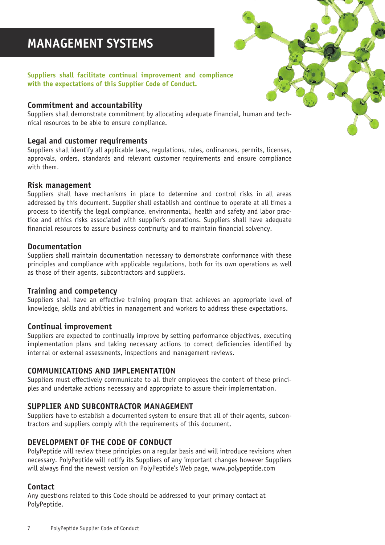## **MANAGEMENT SYSTEMS**

#### **Suppliers shall facilitate continual improvement and compliance with the expectations of this Supplier Code of Conduct.**

#### **Commitment and accountability**

Suppliers shall demonstrate commitment by allocating adequate financial, human and technical resources to be able to ensure compliance.

#### **Legal and customer requirements**

Suppliers shall identify all applicable laws, regulations, rules, ordinances, permits, licenses, approvals, orders, standards and relevant customer requirements and ensure compliance with them.

#### **Risk management**

Suppliers shall have mechanisms in place to determine and control risks in all areas addressed by this document. Supplier shall establish and continue to operate at all times a process to identify the legal compliance, environmental, health and safety and labor practice and ethics risks associated with supplier's operations. Suppliers shall have adequate financial resources to assure business continuity and to maintain financial solvency.

#### **Documentation**

Suppliers shall maintain documentation necessary to demonstrate conformance with these principles and compliance with applicable regulations, both for its own operations as well as those of their agents, subcontractors and suppliers.

#### **Training and competency**

Suppliers shall have an effective training program that achieves an appropriate level of knowledge, skills and abilities in management and workers to address these expectations.

#### **Continual improvement**

Suppliers are expected to continually improve by setting performance objectives, executing implementation plans and taking necessary actions to correct deficiencies identified by internal or external assessments, inspections and management reviews.

#### **COMMUNICATIONS AND IMPLEMENTATION**

Suppliers must effectively communicate to all their employees the content of these principles and undertake actions necessary and appropriate to assure their implementation.

#### **SUPPLIER AND SUBCONTRACTOR MANAGEMENT**

Suppliers have to establish a documented system to ensure that all of their agents, subcontractors and suppliers comply with the requirements of this document.

#### **DEVELOPMENT OF THE CODE OF CONDUCT**

PolyPeptide will review these principles on a regular basis and will introduce revisions when necessary. PolyPeptide will notify its Suppliers of any important changes however Suppliers will always find the newest version on PolyPeptide's Web page, www.polypeptide.com

#### **Contact**

Any questions related to this Code should be addressed to your primary contact at PolyPeptide.